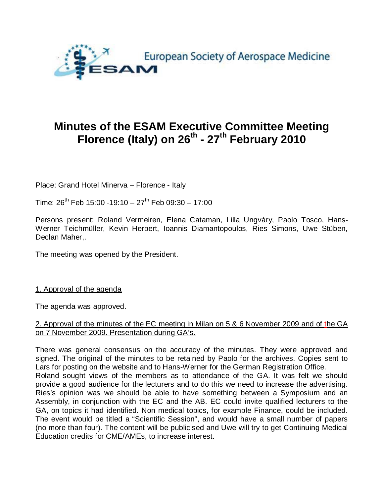

# **Minutes of the ESAM Executive Committee Meeting Florence (Italy) on 26th - 27th February 2010**

Place: Grand Hotel Minerva – Florence - Italy

Time:  $26^{th}$  Feb 15:00 -19:10 -  $27^{th}$  Feb 09:30 - 17:00

Persons present: Roland Vermeiren, Elena Cataman, Lilla Ungváry, Paolo Tosco, Hans-Werner Teichmüller, Kevin Herbert, Ioannis Diamantopoulos, Ries Simons, Uwe Stüben, Declan Maher...

The meeting was opened by the President.

1. Approval of the agenda

The agenda was approved.

#### 2. Approval of the minutes of the EC meeting in Milan on 5 & 6 November 2009 and of the GA on 7 November 2009. Presentation during GA's.

There was general consensus on the accuracy of the minutes. They were approved and signed. The original of the minutes to be retained by Paolo for the archives. Copies sent to Lars for posting on the website and to Hans-Werner for the German Registration Office. Roland sought views of the members as to attendance of the GA. It was felt we should provide a good audience for the lecturers and to do this we need to increase the advertising. Ries's opinion was we should be able to have something between a Symposium and an Assembly, in conjunction with the EC and the AB. EC could invite qualified lecturers to the GA, on topics it had identified. Non medical topics, for example Finance, could be included. The event would be titled a "Scientific Session", and would have a small number of papers (no more than four). The content will be publicised and Uwe will try to get Continuing Medical Education credits for CME/AMEs, to increase interest.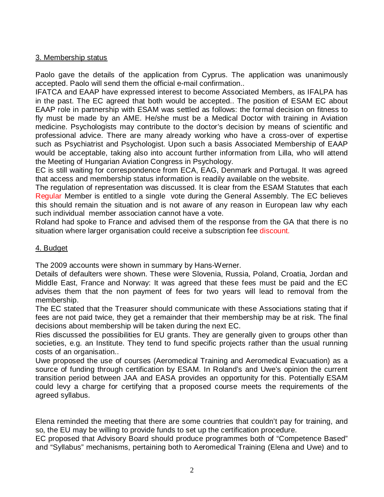# 3. Membership status

Paolo gave the details of the application from Cyprus. The application was unanimously accepted. Paolo will send them the official e-mail confirmation..

IFATCA and EAAP have expressed interest to become Associated Members, as IFALPA has in the past. The EC agreed that both would be accepted.. The position of ESAM EC about EAAP role in partnership with ESAM was settled as follows: the formal decision on fitness to fly must be made by an AME. He/she must be a Medical Doctor with training in Aviation medicine. Psychologists may contribute to the doctor's decision by means of scientific and professional advice. There are many already working who have a cross-over of expertise such as Psychiatrist and Psychologist. Upon such a basis Associated Membership of EAAP would be acceptable, taking also into account further information from Lilla, who will attend the Meeting of Hungarian Aviation Congress in Psychology.

EC is still waiting for correspondence from ECA, EAG, Denmark and Portugal. It was agreed that access and membership status information is readily available on the website.

The regulation of representation was discussed. It is clear from the ESAM Statutes that each Regular Member is entitled to a single vote during the General Assembly. The EC believes this should remain the situation and is not aware of any reason in European law why each such individual member association cannot have a vote.

Roland had spoke to France and advised them of the response from the GA that there is no situation where larger organisation could receive a subscription fee discount.

# 4. Budget

The 2009 accounts were shown in summary by Hans-Werner.

Details of defaulters were shown. These were Slovenia, Russia, Poland, Croatia, Jordan and Middle East, France and Norway: It was agreed that these fees must be paid and the EC advises them that the non payment of fees for two years will lead to removal from the membership.

The EC stated that the Treasurer should communicate with these Associations stating that if fees are not paid twice, they get a remainder that their membership may be at risk. The final decisions about membership will be taken during the next EC.

Ries discussed the possibilities for EU grants. They are generally given to groups other than societies, e.g. an Institute. They tend to fund specific projects rather than the usual running costs of an organisation..

Uwe proposed the use of courses (Aeromedical Training and Aeromedical Evacuation) as a source of funding through certification by ESAM. In Roland's and Uwe's opinion the current transition period between JAA and EASA provides an opportunity for this. Potentially ESAM could levy a charge for certifying that a proposed course meets the requirements of the agreed syllabus.

Elena reminded the meeting that there are some countries that couldn't pay for training, and so, the EU may be willing to provide funds to set up the certification procedure.

EC proposed that Advisory Board should produce programmes both of "Competence Based" and "Syllabus" mechanisms, pertaining both to Aeromedical Training (Elena and Uwe) and to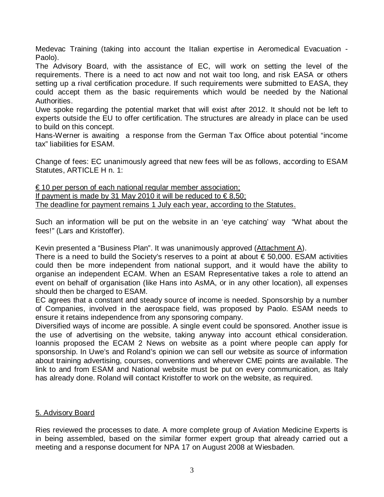Medevac Training (taking into account the Italian expertise in Aeromedical Evacuation - Paolo).

The Advisory Board, with the assistance of EC, will work on setting the level of the requirements. There is a need to act now and not wait too long, and risk EASA or others setting up a rival certification procedure. If such requirements were submitted to EASA, they could accept them as the basic requirements which would be needed by the National Authorities.

Uwe spoke regarding the potential market that will exist after 2012. It should not be left to experts outside the EU to offer certification. The structures are already in place can be used to build on this concept.

Hans-Werner is awaiting a response from the German Tax Office about potential "income tax" liabilities for ESAM.

Change of fees: EC unanimously agreed that new fees will be as follows, according to ESAM Statutes, ARTICLE H n. 1:

 $\epsilon$  10 per person of each national regular member association; If payment is made by 31 May 2010 it will be reduced to  $\in$  8,50; The deadline for payment remains 1 July each year, according to the Statutes.

Such an information will be put on the website in an 'eye catching' way "What about the fees!" (Lars and Kristoffer).

Kevin presented a "Business Plan". It was unanimously approved (Attachment A).

There is a need to build the Society's reserves to a point at about  $\epsilon$  50,000. ESAM activities could then be more independent from national support, and it would have the ability to organise an independent ECAM. When an ESAM Representative takes a role to attend an event on behalf of organisation (like Hans into AsMA, or in any other location), all expenses should then be charged to ESAM.

EC agrees that a constant and steady source of income is needed. Sponsorship by a number of Companies, involved in the aerospace field, was proposed by Paolo. ESAM needs to ensure it retains independence from any sponsoring company.

Diversified ways of income are possible. A single event could be sponsored. Another issue is the use of advertising on the website, taking anyway into account ethical consideration. Ioannis proposed the ECAM 2 News on website as a point where people can apply for sponsorship. In Uwe's and Roland's opinion we can sell our website as source of information about training advertising, courses, conventions and wherever CME points are available. The link to and from ESAM and National website must be put on every communication, as Italy has already done. Roland will contact Kristoffer to work on the website, as required.

#### 5. Advisory Board

Ries reviewed the processes to date. A more complete group of Aviation Medicine Experts is in being assembled, based on the similar former expert group that already carried out a meeting and a response document for NPA 17 on August 2008 at Wiesbaden.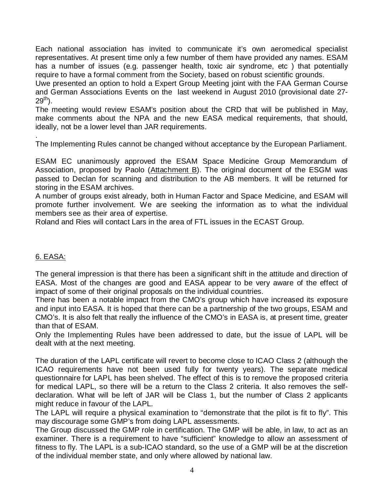Each national association has invited to communicate it's own aeromedical specialist representatives. At present time only a few number of them have provided any names. ESAM has a number of issues (e.g. passenger health, toxic air syndrome, etc ) that potentially require to have a formal comment from the Society, based on robust scientific grounds.

Uwe presented an option to hold a Expert Group Meeting joint with the FAA German Course and German Associations Events on the last weekend in August 2010 (provisional date 27-  $29^{th}$ ).

The meeting would review ESAM's position about the CRD that will be published in May, make comments about the NPA and the new EASA medical requirements, that should, ideally, not be a lower level than JAR requirements.

. The Implementing Rules cannot be changed without acceptance by the European Parliament.

ESAM EC unanimously approved the ESAM Space Medicine Group Memorandum of Association, proposed by Paolo (Attachment B). The original document of the ESGM was passed to Declan for scanning and distribution to the AB members. It will be returned for storing in the ESAM archives.

A number of groups exist already, both in Human Factor and Space Medicine, and ESAM will promote further involvement. We are seeking the information as to what the individual members see as their area of expertise.

Roland and Ries will contact Lars in the area of FTL issues in the ECAST Group.

#### 6. EASA:

The general impression is that there has been a significant shift in the attitude and direction of EASA. Most of the changes are good and EASA appear to be very aware of the effect of impact of some of their original proposals on the individual countries.

There has been a notable impact from the CMO's group which have increased its exposure and input into EASA. It is hoped that there can be a partnership of the two groups, ESAM and CMO's. It is also felt that really the influence of the CMO's in EASA is, at present time, greater than that of ESAM.

Only the Implementing Rules have been addressed to date, but the issue of LAPL will be dealt with at the next meeting.

The duration of the LAPL certificate will revert to become close to ICAO Class 2 (although the ICAO requirements have not been used fully for twenty years). The separate medical questionnaire for LAPL has been shelved. The effect of this is to remove the proposed criteria for medical LAPL, so there will be a return to the Class 2 criteria. It also removes the selfdeclaration. What will be left of JAR will be Class 1, but the number of Class 2 applicants might reduce in favour of the LAPL.

The LAPL will require a physical examination to "demonstrate that the pilot is fit to fly". This may discourage some GMP's from doing LAPL assessments.

The Group discussed the GMP role in certification. The GMP will be able, in law, to act as an examiner. There is a requirement to have "sufficient" knowledge to allow an assessment of fitness to fly. The LAPL is a sub-ICAO standard, so the use of a GMP will be at the discretion of the individual member state, and only where allowed by national law.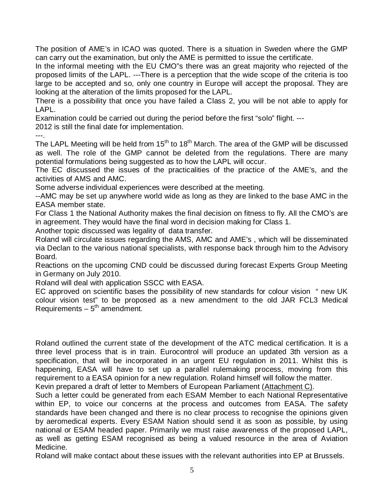The position of AME's in ICAO was quoted. There is a situation in Sweden where the GMP can carry out the examination, but only the AME is permitted to issue the certificate.

In the informal meeting with the EU CMO"s there was an great majority who rejected of the proposed limits of the LAPL. ---There is a perception that the wide scope of the criteria is too large to be accepted and so, only one country in Europe will accept the proposal. They are looking at the alteration of the limits proposed for the LAPL.

There is a possibility that once you have failed a Class 2, you will be not able to apply for LAPL.

Examination could be carried out during the period before the first "solo" flight. ---

2012 is still the final date for implementation.

---.

The LAPL Meeting will be held from  $15<sup>th</sup>$  to  $18<sup>th</sup>$  March. The area of the GMP will be discussed as well. The role of the GMP cannot be deleted from the regulations. There are many potential formulations being suggested as to how the LAPL will occur.

The EC discussed the issues of the practicalities of the practice of the AME's, and the activities of AMS and AMC.

Some adverse individual experiences were described at the meeting.

--AMC may be set up anywhere world wide as long as they are linked to the base AMC in the EASA member state.

For Class 1 the National Authority makes the final decision on fitness to fly. All the CMO's are in agreement. They would have the final word in decision making for Class 1.

Another topic discussed was legality of data transfer.

Roland will circulate issues regarding the AMS, AMC and AME's , which will be disseminated via Declan to the various national specialists, with response back through him to the Advisory Board.

Reactions on the upcoming CND could be discussed during forecast Experts Group Meeting in Germany on July 2010.

Roland will deal with application SSCC with EASA.

EC approved on scientific bases the possibility of new standards for colour vision " new UK colour vision test" to be proposed as a new amendment to the old JAR FCL3 Medical Requirements –  $5<sup>th</sup>$  amendment.

Roland outlined the current state of the development of the ATC medical certification. It is a three level process that is in train. Eurocontrol will produce an updated 3th version as a specification, that will be incorporated in an urgent EU regulation in 2011. Whilst this is happening, EASA will have to set up a parallel rulemaking process, moving from this requirement to a EASA opinion for a new regulation. Roland himself will follow the matter.

Kevin prepared a draft of letter to Members of European Parliament (Attachment C).

Such a letter could be generated from each ESAM Member to each National Representative within EP, to voice our concerns at the process and outcomes from EASA. The safety standards have been changed and there is no clear process to recognise the opinions given by aeromedical experts. Every ESAM Nation should send it as soon as possible, by using national or ESAM headed paper. Primarily we must raise awareness of the proposed LAPL, as well as getting ESAM recognised as being a valued resource in the area of Aviation Medicine.

Roland will make contact about these issues with the relevant authorities into EP at Brussels.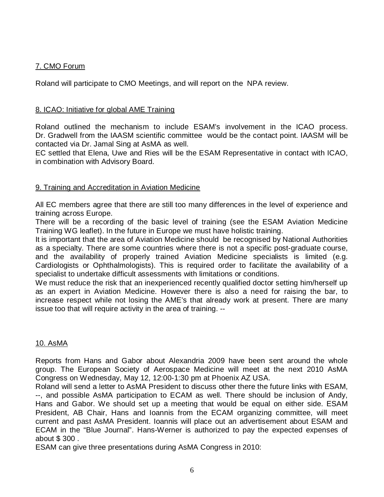# 7. CMO Forum

Roland will participate to CMO Meetings, and will report on the NPA review.

### 8. ICAO: Initiative for global AME Training

Roland outlined the mechanism to include ESAM's involvement in the ICAO process. Dr. Gradwell from the IAASM scientific committee would be the contact point. IAASM will be contacted via Dr. Jamal Sing at AsMA as well.

EC settled that Elena, Uwe and Ries will be the ESAM Representative in contact with ICAO, in combination with Advisory Board.

# 9. Training and Accreditation in Aviation Medicine

All EC members agree that there are still too many differences in the level of experience and training across Europe.

There will be a recording of the basic level of training (see the ESAM Aviation Medicine Training WG leaflet). In the future in Europe we must have holistic training.

It is important that the area of Aviation Medicine should be recognised by National Authorities as a specialty. There are some countries where there is not a specific post-graduate course, and the availability of properly trained Aviation Medicine specialists is limited (e.g. Cardiologists or Ophthalmologists). This is required order to facilitate the availability of a specialist to undertake difficult assessments with limitations or conditions.

We must reduce the risk that an inexperienced recently qualified doctor setting him/herself up as an expert in Aviation Medicine. However there is also a need for raising the bar, to increase respect while not losing the AME's that already work at present. There are many issue too that will require activity in the area of training. --

#### 10. AsMA

Reports from Hans and Gabor about Alexandria 2009 have been sent around the whole group. The European Society of Aerospace Medicine will meet at the next 2010 AsMA Congress on Wednesday, May 12, 12:00-1:30 pm at Phoenix AZ USA.

Roland will send a letter to AsMA President to discuss other there the future links with ESAM, --, and possible AsMA participation to ECAM as well. There should be inclusion of Andy, Hans and Gabor. We should set up a meeting that would be equal on either side. ESAM President, AB Chair, Hans and Ioannis from the ECAM organizing committee, will meet current and past AsMA President. Ioannis will place out an advertisement about ESAM and ECAM in the "Blue Journal". Hans-Werner is authorized to pay the expected expenses of about \$ 300 .

ESAM can give three presentations during AsMA Congress in 2010: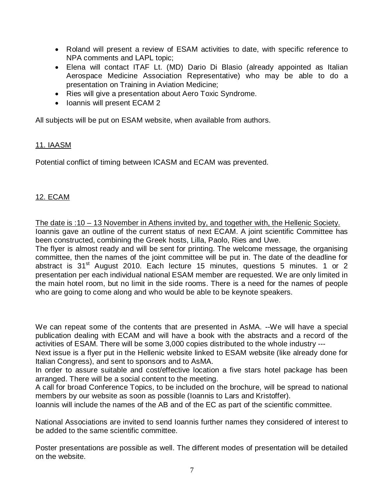- Roland will present a review of ESAM activities to date, with specific reference to NPA comments and LAPL topic;
- Elena will contact ITAF Lt. (MD) Dario Di Blasio (already appointed as Italian Aerospace Medicine Association Representative) who may be able to do a presentation on Training in Aviation Medicine;
- Ries will give a presentation about Aero Toxic Syndrome.
- Ioannis will present ECAM 2

All subjects will be put on ESAM website, when available from authors.

#### 11. IAASM

Potential conflict of timing between ICASM and ECAM was prevented.

#### 12. ECAM

The date is :10 – 13 November in Athens invited by, and together with, the Hellenic Society. Ioannis gave an outline of the current status of next ECAM. A joint scientific Committee has been constructed, combining the Greek hosts, Lilla, Paolo, Ries and Uwe.

The flyer is almost ready and will be sent for printing. The welcome message, the organising committee, then the names of the joint committee will be put in. The date of the deadline for abstract is  $31<sup>st</sup>$  August 2010. Each lecture 15 minutes, questions 5 minutes. 1 or 2 presentation per each individual national ESAM member are requested. We are only limited in the main hotel room, but no limit in the side rooms. There is a need for the names of people who are going to come along and who would be able to be keynote speakers.

We can repeat some of the contents that are presented in AsMA. --We will have a special publication dealing with ECAM and will have a book with the abstracts and a record of the activities of ESAM. There will be some 3,000 copies distributed to the whole industry ---

Next issue is a flyer put in the Hellenic website linked to ESAM website (like already done for Italian Congress), and sent to sponsors and to AsMA.

In order to assure suitable and cost/effective location a five stars hotel package has been arranged. There will be a social content to the meeting.

A call for broad Conference Topics, to be included on the brochure, will be spread to national members by our website as soon as possible (Ioannis to Lars and Kristoffer).

Ioannis will include the names of the AB and of the EC as part of the scientific committee.

National Associations are invited to send Ioannis further names they considered of interest to be added to the same scientific committee.

Poster presentations are possible as well. The different modes of presentation will be detailed on the website.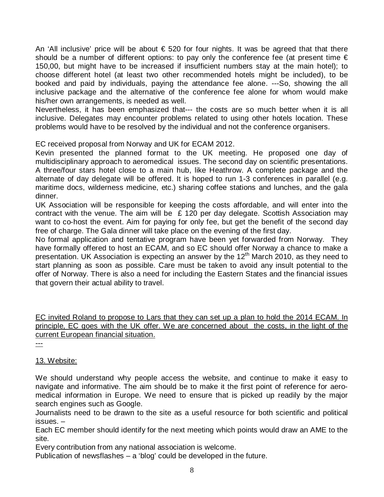An 'All inclusive' price will be about  $\epsilon$  520 for four nights. It was be agreed that that there should be a number of different options: to pay only the conference fee (at present time  $\epsilon$ 150,00, but might have to be increased if insufficient numbers stay at the main hotel); to choose different hotel (at least two other recommended hotels might be included), to be booked and paid by individuals, paying the attendance fee alone. ---So, showing the all inclusive package and the alternative of the conference fee alone for whom would make his/her own arrangements, is needed as well.

Nevertheless, it has been emphasized that--- the costs are so much better when it is all inclusive. Delegates may encounter problems related to using other hotels location. These problems would have to be resolved by the individual and not the conference organisers.

EC received proposal from Norway and UK for ECAM 2012.

Kevin presented the planned format to the UK meeting. He proposed one day of multidisciplinary approach to aeromedical issues. The second day on scientific presentations. A three/four stars hotel close to a main hub, like Heathrow. A complete package and the alternate of day delegate will be offered. It is hoped to run 1-3 conferences in parallel (e.g. maritime docs, wilderness medicine, etc.) sharing coffee stations and lunches, and the gala dinner.

UK Association will be responsible for keeping the costs affordable, and will enter into the contract with the venue. The aim will be  $\epsilon$  120 per day delegate. Scottish Association may want to co-host the event. Aim for paying for only fee, but get the benefit of the second day free of charge. The Gala dinner will take place on the evening of the first day.

No formal application and tentative program have been yet forwarded from Norway. They have formally offered to host an ECAM, and so EC should offer Norway a chance to make a presentation. UK Association is expecting an answer by the 12<sup>th</sup> March 2010, as they need to start planning as soon as possible. Care must be taken to avoid any insult potential to the offer of Norway. There is also a need for including the Eastern States and the financial issues that govern their actual ability to travel.

EC invited Roland to propose to Lars that they can set up a plan to hold the 2014 ECAM. In principle, EC goes with the UK offer. We are concerned about the costs, in the light of the current European financial situation.

---

13. Website:

We should understand why people access the website, and continue to make it easy to navigate and informative. The aim should be to make it the first point of reference for aeromedical information in Europe. We need to ensure that is picked up readily by the major search engines such as Google.

Journalists need to be drawn to the site as a useful resource for both scientific and political issues. –

Each EC member should identify for the next meeting which points would draw an AME to the site.

Every contribution from any national association is welcome.

Publication of newsflashes – a 'blog' could be developed in the future.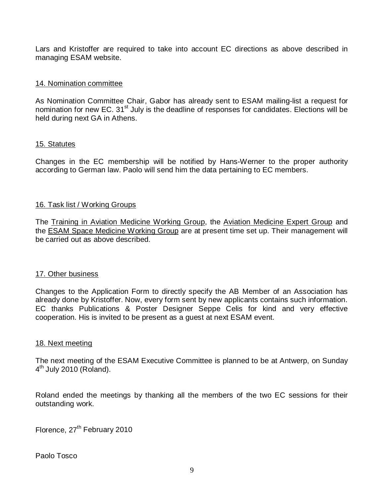Lars and Kristoffer are required to take into account EC directions as above described in managing ESAM website.

#### 14. Nomination committee

As Nomination Committee Chair, Gabor has already sent to ESAM mailing-list a request for nomination for new EC. 31<sup>st</sup> July is the deadline of responses for candidates. Elections will be held during next GA in Athens.

#### 15. Statutes

Changes in the EC membership will be notified by Hans-Werner to the proper authority according to German law. Paolo will send him the data pertaining to EC members.

#### 16. Task list / Working Groups

The Training in Aviation Medicine Working Group, the Aviation Medicine Expert Group and the **ESAM Space Medicine Working Group** are at present time set up. Their management will be carried out as above described.

#### 17. Other business

Changes to the Application Form to directly specify the AB Member of an Association has already done by Kristoffer. Now, every form sent by new applicants contains such information. EC thanks Publications & Poster Designer Seppe Celis for kind and very effective cooperation. His is invited to be present as a guest at next ESAM event.

#### 18. Next meeting

The next meeting of the ESAM Executive Committee is planned to be at Antwerp, on Sunday  $4<sup>th</sup>$  July 2010 (Roland).

Roland ended the meetings by thanking all the members of the two EC sessions for their outstanding work.

Florence, 27<sup>th</sup> February 2010

Paolo Tosco